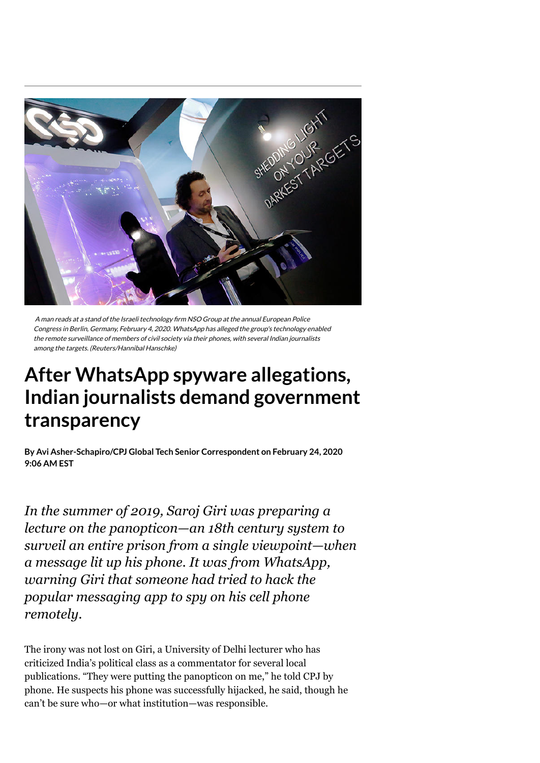

A man reads at a stand of the Israeli technology firm NSO Group at the annual European Police Congress in Berlin, Germany, February 4, 2020. WhatsApp has alleged the group's technology enabled the remote surveillance of members of civil society via their phones, with several Indian journalists among the targets. (Reuters/Hannibal Hanschke)

## **After WhatsApp spyware allegations, Indian journalists demand government transparency**

**By on February 24, 2020 Avi [Asher-Schapiro/CPJ](https://cpj.org/author/avi-asher-schapiro-cpj-global-tech-senior-correspondent/) Global Tech Senior Correspondent9:06 AM EST**

*In the summer of 2019, Saroj Giri was preparing a lecture on the panopticon—an 18th century system to surveil an entire prison from a single viewpoint—when a message lit up his phone. It was from WhatsApp, warning Giri that someone had tried to hack the popular messaging app to spy on his cell phone remotely.*

The irony was not lost on Giri, a University of Delhi lecturer who has criticized India's political class as a commentator for several local publications. "They were putting the panopticon on me," he told CPJ by phone. He suspects his phone was successfully hijacked, he said, though he can't be sure who—or what institution—was responsible.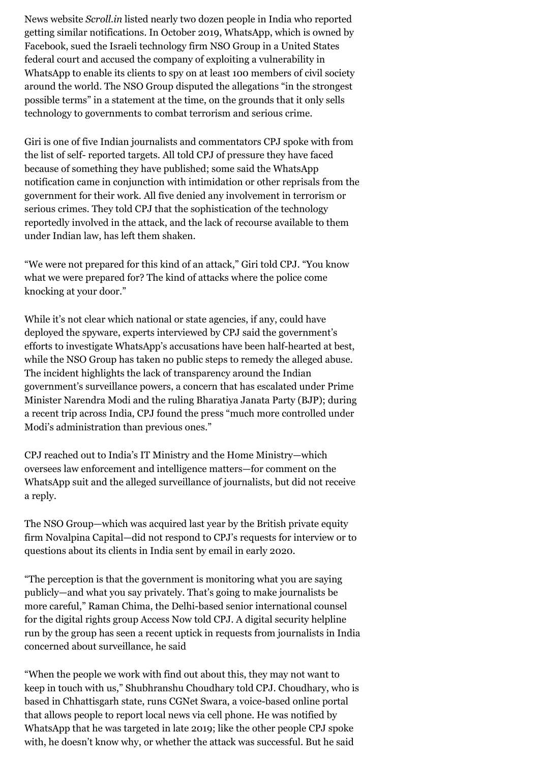News website *[Scroll.in](https://scroll.in/latest/942218/nagpur-lawyer-notified-by-whatsapp-of-surveillance-says-bhima-koregaon-accused-were-also-targetted)* listed nearly two dozen people in India who reported getting similar notifications. In October 2019, WhatsApp, which is owned by Facebook, [sued](https://www.courtlistener.com/docket/16395340/facebook-inc-v-nso-group-technologies-limited/) the Israeli technology firm NSO Group in a United States federal court and accused the company of exploiting a vulnerability in WhatsApp to enable its clients to spy on at least [100](https://www.reuters.com/article/us-facebook-cyber-whatsapp-nsogroup/whatsapp-sues-israels-nso-for-allegedly-helping-spies-hack-phones-around-the-world-idUSKBN1X82BE) members of civil society around the world. The NSO Group [disputed](https://www.prnewswire.com/il/news-releases/nso-group-statement-on-facebook-lawsuit-832166037.html) the allegations "in the strongest possible terms" in a statement at the time, on the grounds that it only sells technology to governments to combat terrorism and serious crime.

Giri is one of five Indian journalists and commentators CPJ spoke with from the list of self- reported targets. All told CPJ of pressure they have faced because of something they have published; some said the WhatsApp notification came in conjunction with intimidation or other reprisals from the government for their work. All five denied any involvement in terrorism or serious crimes. They told CPJ that the sophistication of the technology reportedly involved in the attack, and the lack of recourse available to them under Indian law, has left them shaken.

"We were not prepared for this kind of an attack," Giri told CPJ. "You know what we were prepared for? The kind of attacks where the police come knocking at your door."

While it's not clear which national or state agencies, if any, could have deployed the spyware, experts interviewed by CPJ said the government's efforts to investigate WhatsApp's accusations have been half-hearted at best, while the NSO Group has taken no public steps to remedy the alleged abuse. The incident highlights the lack of transparency around the Indian government's surveillance powers, a concern that has escalated under Prime Minister Narendra Modi and the ruling Bharatiya Janata Party (BJP); during a recent trip across India, CPJ [found](https://cpj.org/blog/2018/04/weight-of-legal-cases-and-threats-leave-indias-jou.php) the press "much more controlled under Modi's administration than previous ones."

CPJ reached out to India's IT Ministry and the Home Ministry—which oversees law enforcement and intelligence matters—for comment on the WhatsApp suit and the alleged surveillance of journalists, but did not receive a reply.

The NSO Group—which was [acquired](https://www.novalpina.pe/nso-group-acquired/) last year by the British private equity firm Novalpina Capital—did not respond to CPJ's requests for interview or to questions about its clients in India sent by email in early 2020.

"The perception is that the government is monitoring what you are saying publicly—and what you say privately. That's going to make journalists be more careful," Raman Chima, the Delhi-based senior international counsel for the digital rights group Access Now told CPJ. A digital security helpline run by the group has seen a recent uptick in requests from journalists in India concerned about surveillance, he said

"When the people we work with find out about this, they may not want to keep in touch with us," Shubhranshu Choudhary told CPJ. Choudhary, who is based in Chhattisgarh state, runs CGNet Swara, a voice-based online portal that allows people to report local news via cell phone. He was notified by WhatsApp that he was targeted in late 2019; like the other people CPJ spoke with, he doesn't know why, or whether the attack was successful. But he said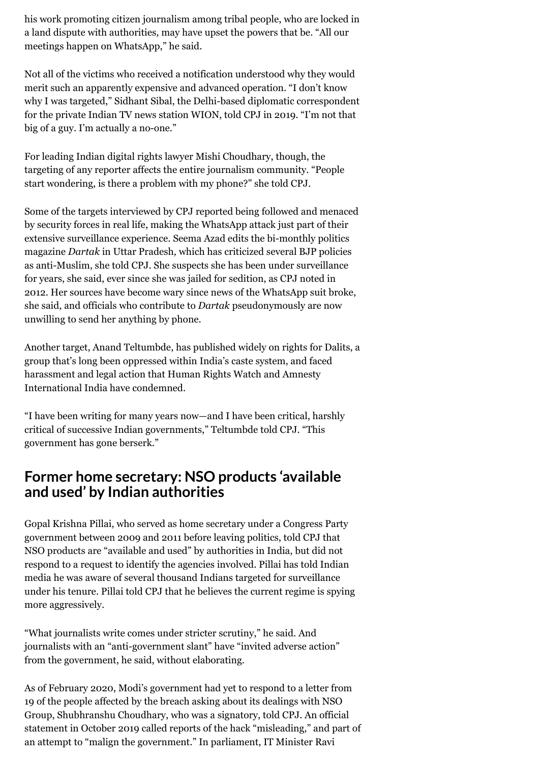his work promoting citizen journalism among tribal people, who are locked in a land dispute with authorities*,* may have upset the powers that be. "All our meetings happen on WhatsApp," he said.

Not all of the victims who received a notification understood why they would merit such an apparently expensive and advanced operation. "I don't know why I was targeted," Sidhant Sibal, the Delhi-based diplomatic correspondent for the private Indian TV news station WION, told CPJ in 2019. "I'm not that big of a guy. I'm actually a no-one."

For leading Indian digital rights lawyer Mishi Choudhary, though, the targeting of any reporter affects the entire journalism community. "People start wondering, is there a problem with my phone?" she told CPJ.

Some of the targets interviewed by CPJ reported being followed and menaced by security forces in real life, making the WhatsApp attack just part of their extensive surveillance experience. Seema Azad edits the bi-monthly politics magazine *Dartak* in Uttar Pradesh*,* which has criticized several BJP policies as anti-Muslim, she told CPJ. She suspects she has been under surveillance for years, she said, ever since she was jailed for sedition, as CPJ [noted](https://cpj.org/blog/2012/09/with-new-focus-on-sedition-law-india-poised-at-jun.php) in 2012. Her sources have become wary since news of the WhatsApp suit broke, she said, and officials who contribute to *Dartak* pseudonymously are now unwilling to send her anything by phone.

Another target, Anand Teltumbde, has published [widely](https://muckrack.com/anand-teltumbde/articles) on rights for Dalits, a group that's long been oppressed within India's caste system, and faced [harassment and legal action that H](https://www.theweek.in/news/india/2018/08/31/human-rights-watch-amnesty-political-arrests.html)[uman Rights Watc](https://www.hrw.org/news/2019/02/14/there-no-democracy-without-dissent)[h and Amnesty](https://www.theweek.in/news/india/2018/08/31/human-rights-watch-amnesty-political-arrests.html) International India have condemned.

"I have been writing for many years now—and I have been critical, harshly critical of successive Indian governments," Teltumbde told CPJ. "This government has gone berserk."

## **Former home secretary: NSO products 'available and used' by Indian authorities**

Gopal Krishna Pillai, who served as home secretary under a Congress Party government between 2009 and 2011 before leaving politics, told CPJ that NSO products are "available and used" by authorities in India, but did not respond to a request to identify the agencies involved. Pillai has told Indian [media](https://www.bloombergquint.com/quint/whatsapp-pegasus-nso-spyware-former-home-secretary-gk-pillai) he was aware of several thousand Indians targeted for surveillance under his tenure. Pillai told CPJ that he believes the current regime is spying more aggressively.

"What journalists write comes under stricter scrutiny," he said. And journalists with an "anti-government slant" have "invited adverse action" from the government, he said, without elaborating.

As of February 2020, Modi's government had yet to respond to a [letter](https://www.reuters.com/article/us-facebook-cyber-whatsapp-india/indian-whatsapp-users-ask-government-to-explain-ties-with-israeli-firm-in-privacy-breach-case-idUSKBN1XI1H7) from 19 of the people affected by the breach asking about its dealings with NSO Group, Shubhranshu Choudhary, who was a signatory, told CPJ. An official [statement](https://www.business-standard.com/article/news-ani/attempts-to-malign-govt-over-reported-whatsapp-breach-misleading-mha-119103101451_1.html) in October 2019 called reports of the hack "misleading," and part of an attempt to "malign the government." In parliament, IT Minister Ravi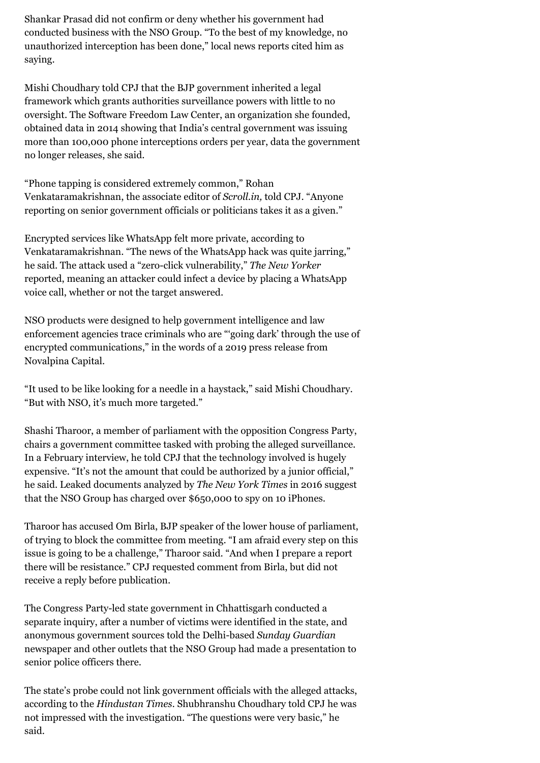Shankar Prasad did not confirm or deny whether his government had conducted business with the NSO Group. "To the best of my knowledge, no unauthorized interception has been done," local [news reports](https://www.newsdogapp.com/en/article/5ddfc34d83b48e1d4a5b65c2/?d=false) cited him as saying.

Mishi Choudhary told CPJ that the BJP government inherited a legal framework which grants authorities surveillance powers with little to no oversight. The Software Freedom Law Center, an organization she founded, obtained data in 2014 [showing](https://sflc.in/indias-surveillance-state-our-report-on-communications-surveillance-in-india) that India's central government was issuing more than 100,000 phone interceptions orders per year, data the government no longer releases, she said.

"Phone tapping is considered extremely common," Rohan Venkataramakrishnan, the associate editor of *Scroll.in,* told CPJ. "Anyone reporting on senior government officials or politicians takes it as a given."

Encrypted services like WhatsApp felt more private, according to Venkataramakrishnan. "The news of the WhatsApp hack was quite jarring," he said. The attack used a "zero-click vulnerability," *The New Yorker* [reported](https://www.newyorker.com/news/news-desk/whatsapp-sues-an-israeli-tech-firm-whose-spyware-targeted-human-rights-activists-and-journalists), meaning an attacker could infect a device by placing a WhatsApp voice call, whether or not the target answered.

NSO products were [designed](https://www.nytimes.com/2019/03/21/us/politics/government-hackers-nso-darkmatter.html) to help government intelligence and law enforcement agencies trace criminals who are "'going dark' through the use of encrypted communications," in the words of a 2019 [press release](https://www.prnewswire.com/il/news-releases/novalpina-capital-llp-to-unveil-new-governance-framework-at-nso-group-within-90-days-884024205.html) from Novalpina Capital.

"It used to be like looking for a needle in a haystack," said Mishi Choudhary. "But with NSO, it's much more targeted."

Shashi Tharoor, a member of parliament with the opposition Congress Party, chairs a government committee tasked with probing the alleged surveillance. In a February interview, he told CPJ that the technology involved is hugely expensive. "It's not the amount that could be authorized by a junior official," he said. Leaked documents analyzed by *The New York Times* in 2016 suggest that the NSO Group has [charged](https://www.nytimes.com/2016/09/03/technology/nso-group-how-spy-tech-firms-let-governments-see-everything-on-a-smartphone.html) over \$650,000 to spy on 10 iPhones.

Tharoor has [accused](https://scroll.in/latest/946584/whatsapp-spyware-shashi-tharoor-alleges-lok-sabha-speaker-did-not-allow-committee-on-it-to-meet) Om Birla, BJP speaker of the lower house of parliament, of trying to block the committee from meeting. "I am afraid every step on this issue is going to be a challenge," Tharoor said. "And when I prepare a report there will be resistance." CPJ requested comment from Birla, but did not receive a reply before publication.

The Congress Party-led state government in Chhattisgarh conducted a separate inquiry, after a number of victims were identified in the state, and anonymous government sources [told](https://www.sundayguardianlive.com/news/nso-demonstrated-use-pegasus-chhattisgarh-police) the Delhi-based *Sunday Guardian* newspaper and other [outlets](https://indianexpress.com/article/india/chhattisgarh-govt-sets-up-panel-to-probe-whatsapp-snoop-cloud-pegasus-6113600/) that the NSO Group had made a presentation to senior police officers there.

The state's probe could not link government officials with the alleged attacks, according to the *[Hindustan Times.](https://www.hindustantimes.com/india-news/chhattisgarh-panel-says-no-govt-link-to-whatsapp-snooping-case-involving-activists/story-Fe587J00jxQ9osdlJzMm7J.html)* Shubhranshu Choudhary told CPJ he was not impressed with the investigation. "The questions were very basic," he said.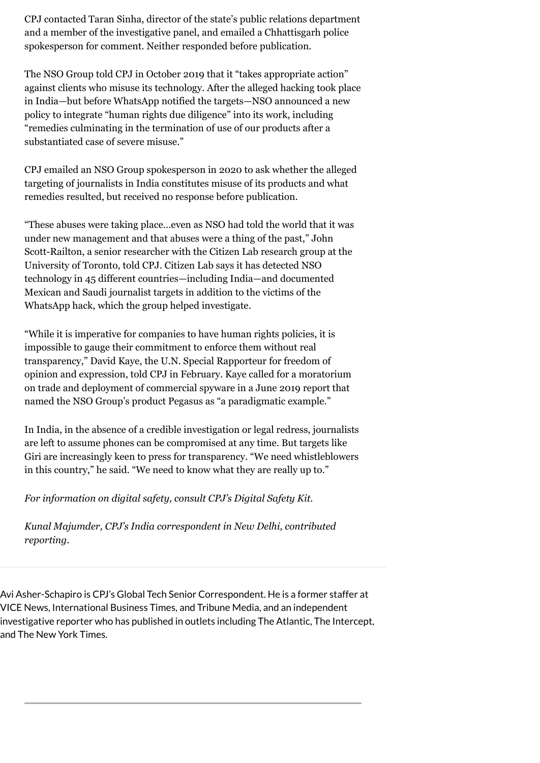CPJ contacted Taran Sinha, director of the state's public relations department and a member of the investigative panel, and emailed a Chhattisgarh police spokesperson for comment. Neither responded before publication.

The NSO Group told CPJ in [October 2019](https://cpj.org/blog/2019/10/moroccan-press-freedom--nso-group-target.php) that it "takes appropriate action" against clients who misuse its technology. After the alleged hacking took place in India—but before WhatsApp notified the targets—NSO [announced](https://www.prnewswire.com/il/news-releases/nso-group-announces-new-human-rights-policy-and-governance-framework-844982247.html) a new policy to integrate "human rights due diligence" into its work, including "remedies culminating in the termination of use of our products after a substantiated case of severe misuse."

CPJ emailed an NSO Group spokesperson in 2020 to ask whether the alleged targeting of journalists in India constitutes misuse of its products and what remedies resulted, but received no response before publication.

"These abuses were taking place…even as NSO had told the world that it was under new management and that abuses were a thing of the past," John Scott-Railton, a senior researcher with the Citizen Lab research group at the University of Toronto, told CPJ. Citizen Lab says it has [detected](https://citizenlab.ca/2018/09/hide-and-seek-tracking-nso-groups-pegasus-spyware-to-operations-in-45-countries/) NSO technology in 45 different countries—including India—and documented Mexican and Saudi journalist [targets](https://citizenlab.ca/2018/11/mexican-journalists-investigating-cartels-targeted-nso-spyware-following-assassination-colleague/targeted-with-pegasus-journalists-civic-media-1/) in addition to the victims of the WhatsApp hack, which the group helped [investigate](https://citizenlab.ca/2019/10/nso-q-cyber-technologies-100-new-abuse-cases/).

"While it is imperative for companies to have human rights policies, it is impossible to gauge their commitment to enforce them without real transparency," David Kaye, the U.N. Special Rapporteur for freedom of opinion and expression, told CPJ in February. Kaye [called](https://www.reuters.com/article/us-socialmedia-un-spyware/u-n-surveillance-expert-urges-global-moratorium-on-sale-of-spyware-idUSKCN1TJ2DV) for a moratorium on trade and deployment of commercial spyware in a [June 2019](https://www.ohchr.org/EN/NewsEvents/Pages/DisplayNews.aspx?NewsID=24736) report that named the NSO Group's product Pegasus as "a paradigmatic example."

In India, in the absence of a credible investigation or legal redress, journalists are left to assume phones can be compromised at any time. But targets like Giri are increasingly keen to press for transparency. "We need whistleblowers in this country," he said. "We need to know what they are really up to."

*For information on digital safety, consult CPJ's [Digital Safety Kit](https://cpj.org/2019/07/digital-safety-kit-journalists.php).*

*Kunal Majumder, CPJ's India correspondent in New Delhi, contributed reporting.*

Avi Asher-Schapiro is CPJ's Global Tech Senior Correspondent. He is a former staffer at VICE News, International Business Times, and Tribune Media, and an independent investigative reporter who has published in outlets including The Atlantic, The Intercept, and The New York Times.